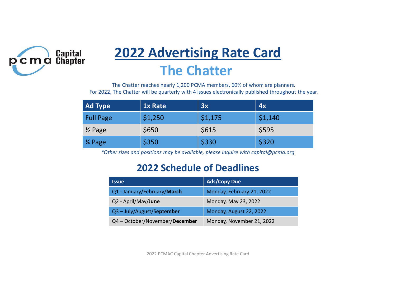

# 2022 Advertising Rate Card The Chatter

| <b>2022 Advertising Rate Card</b><br><b>The Chatter</b> |                                |                                   |       |                           |                                                                                                                                                                                 |  |  |
|---------------------------------------------------------|--------------------------------|-----------------------------------|-------|---------------------------|---------------------------------------------------------------------------------------------------------------------------------------------------------------------------------|--|--|
|                                                         |                                |                                   |       |                           | The Chatter reaches nearly 1,200 PCMA members, 60% of whom are planners.<br>For 2022, The Chatter will be quarterly with 4 issues electronically published throughout the year. |  |  |
| <b>Ad Type</b>                                          |                                | 1x Rate                           | 3x    |                           | 4x                                                                                                                                                                              |  |  |
| <b>Full Page</b>                                        |                                | \$1,250                           |       | \$1,175                   | \$1,140                                                                                                                                                                         |  |  |
| $\frac{1}{2}$ Page                                      |                                | \$650                             | \$615 |                           | \$595                                                                                                                                                                           |  |  |
| 1⁄4 Page                                                | \$350                          |                                   | \$330 |                           | \$320                                                                                                                                                                           |  |  |
|                                                         |                                |                                   |       |                           | *Other sizes and positions may be available, please inquire with capital@pcma.org                                                                                               |  |  |
|                                                         |                                | <b>2022 Schedule of Deadlines</b> |       |                           |                                                                                                                                                                                 |  |  |
|                                                         | <b>Issue</b>                   |                                   |       | <b>Ads/Copy Due</b>       |                                                                                                                                                                                 |  |  |
|                                                         | Q1 - January/February/March    |                                   |       | Monday, February 21, 2022 |                                                                                                                                                                                 |  |  |
|                                                         | Q2 - April/May/June            |                                   |       | Monday, May 23, 2022      |                                                                                                                                                                                 |  |  |
|                                                         | Q3-July/August/September       |                                   |       | Monday, August 22, 2022   |                                                                                                                                                                                 |  |  |
|                                                         | Q4 - October/November/December |                                   |       | Monday, November 21, 2022 |                                                                                                                                                                                 |  |  |

#### 2022 Schedule of Deadlines

| <b>Issue</b>                   | <b>Ads/Copy Due</b>       |
|--------------------------------|---------------------------|
| Q1 - January/February/March    | Monday, February 21, 2022 |
| Q2 - April/May/June            | Monday, May 23, 2022      |
| Q3 - July/August/September     | Monday, August 22, 2022   |
| Q4 - October/November/December | Monday, November 21, 2022 |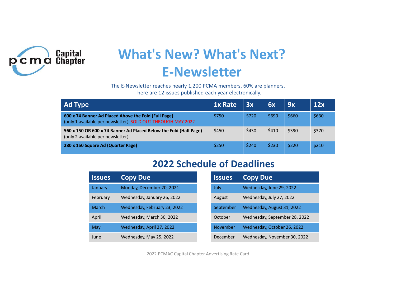

# What's New? What's Next? E-Newsletter

| <b>What's New? What's Next?</b><br>apital<br>hapter                                                                              |                                                                                                                     |                              |       |           |                            |       |       |       |  |  |
|----------------------------------------------------------------------------------------------------------------------------------|---------------------------------------------------------------------------------------------------------------------|------------------------------|-------|-----------|----------------------------|-------|-------|-------|--|--|
| <b>E-Newsletter</b>                                                                                                              |                                                                                                                     |                              |       |           |                            |       |       |       |  |  |
| The E-Newsletter reaches nearly 1,200 PCMA members, 60% are planners.<br>There are 12 issues published each year electronically. |                                                                                                                     |                              |       |           |                            |       |       |       |  |  |
| 1x Rate<br><b>Ad Type</b><br>3x<br>6x<br>9x                                                                                      |                                                                                                                     |                              |       |           |                            |       | 12x   |       |  |  |
|                                                                                                                                  | 600 x 74 Banner Ad Placed Above the Fold (Full Page)<br>(only 1 available per newsletter) SOLD OUT THROUGH MAY 2022 |                              | \$750 | \$720     | \$690                      | \$660 | \$630 |       |  |  |
| 560 x 150 OR 600 x 74 Banner Ad Placed Below the Fold (Half Page)<br>(only 2 available per newsletter)                           |                                                                                                                     |                              |       | \$450     | \$430                      | \$410 | \$390 | \$370 |  |  |
|                                                                                                                                  | 280 x 150 Square Ad (Quarter Page)                                                                                  |                              | \$250 | \$240     | \$230                      | \$220 | \$210 |       |  |  |
| <b>2022 Schedule of Deadlines</b>                                                                                                |                                                                                                                     |                              |       |           |                            |       |       |       |  |  |
|                                                                                                                                  | <b>Copy Due</b><br><b>Copy Due</b><br><b>Issues</b><br><b>Issues</b>                                                |                              |       |           |                            |       |       |       |  |  |
|                                                                                                                                  |                                                                                                                     |                              |       |           |                            |       |       |       |  |  |
|                                                                                                                                  | January                                                                                                             | Monday, December 20, 2021    |       | July      | Wednesday, June 29, 2022   |       |       |       |  |  |
|                                                                                                                                  | February                                                                                                            | Wednesday, January 26, 2022  |       | August    | Wednesday, July 27, 2022   |       |       |       |  |  |
|                                                                                                                                  | <b>March</b>                                                                                                        | Wednesday, February 23, 2022 |       | September | Wednesday, August 31, 2022 |       |       |       |  |  |

### 2022 Schedule of Deadlines

|                                                                                                                                  | E-NEWSIELLEI                                                                                |  |               |                             |       |                               |       |  |
|----------------------------------------------------------------------------------------------------------------------------------|---------------------------------------------------------------------------------------------|--|---------------|-----------------------------|-------|-------------------------------|-------|--|
| The E-Newsletter reaches nearly 1,200 PCMA members, 60% are planners.<br>There are 12 issues published each year electronically. |                                                                                             |  |               |                             |       |                               |       |  |
|                                                                                                                                  |                                                                                             |  | 1x Rate       | 3x                          | 6x    | 9x                            | 12x   |  |
|                                                                                                                                  | nner Ad Placed Above the Fold (Full Page)<br>able per newsletter) SOLD OUT THROUGH MAY 2022 |  | \$750         | \$720                       | \$690 | \$660                         | \$630 |  |
| R 600 x 74 Banner Ad Placed Below the Fold (Half Page)<br>able per newsletter)                                                   |                                                                                             |  | \$450         | \$430                       | \$410 | \$390                         | \$370 |  |
| quare Ad (Quarter Page)                                                                                                          |                                                                                             |  | \$250         | \$240                       | \$230 | \$220                         | \$210 |  |
| <b>2022 Schedule of Deadlines</b>                                                                                                |                                                                                             |  |               |                             |       |                               |       |  |
|                                                                                                                                  |                                                                                             |  |               |                             |       |                               |       |  |
| <b>Issues</b>                                                                                                                    | <b>Copy Due</b>                                                                             |  | <b>Issues</b> | <b>Copy Due</b>             |       |                               |       |  |
| January                                                                                                                          | Monday, December 20, 2021                                                                   |  | July          | Wednesday, June 29, 2022    |       |                               |       |  |
| February                                                                                                                         | Wednesday, January 26, 2022                                                                 |  | August        | Wednesday, July 27, 2022    |       |                               |       |  |
| <b>March</b>                                                                                                                     | Wednesday, February 23, 2022                                                                |  | September     | Wednesday, August 31, 2022  |       |                               |       |  |
| April                                                                                                                            | Wednesday, March 30, 2022                                                                   |  | October       |                             |       | Wednesday, September 28, 2022 |       |  |
| May                                                                                                                              | Wednesday, April 27, 2022                                                                   |  | November      | Wednesday, October 26, 2022 |       |                               |       |  |
| June                                                                                                                             | Wednesday, May 25, 2022                                                                     |  | December      |                             |       | Wednesday, November 30, 2022  |       |  |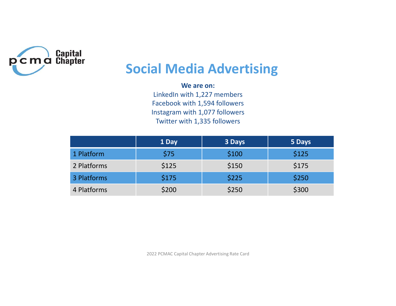

## Social Media Advertising

#### We are on:

| ital<br>pter | <b>Social Media Advertising</b><br>We are on:<br>LinkedIn with 1,227 members |                                                                                                 |        |  |  |  |  |  |
|--------------|------------------------------------------------------------------------------|-------------------------------------------------------------------------------------------------|--------|--|--|--|--|--|
|              |                                                                              | Facebook with 1,594 followers<br>Instagram with 1,077 followers<br>Twitter with 1,335 followers |        |  |  |  |  |  |
|              | 1 Day                                                                        | 3 Days                                                                                          | 5 Days |  |  |  |  |  |
|              | \$75                                                                         | \$100                                                                                           | \$125  |  |  |  |  |  |
| 1 Platform   |                                                                              |                                                                                                 |        |  |  |  |  |  |
| 2 Platforms  | \$125                                                                        | \$150                                                                                           | \$175  |  |  |  |  |  |
| 3 Platforms  | \$175                                                                        | \$225                                                                                           | \$250  |  |  |  |  |  |